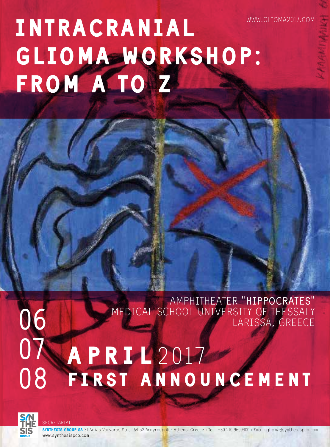# Intracranial GLIOMA WORKSHOP: FROM A TOMZ www.glioma2017.com

Amphitheater **"Hippocrates"** Medical School University of Thessaly Larissa, Greece

### FIRST ANNOUNCEMENT **07 08 APRIL2017**



**06**

Secretariat:

SYNTHESIS GROUP SA 31 Agias Varvaras Str., 164 52 Argyroupoli - Athens, Greece • Tel: +30 210 9609400 • Email: glioma@synthesispco.com **www.synthesispco.com**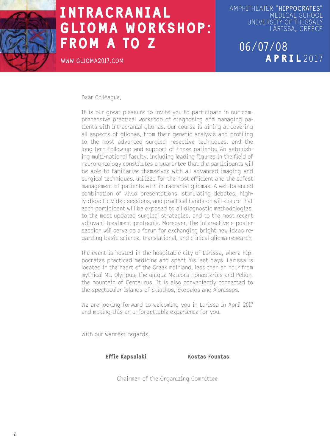

**www.glioma2017.com**

Amphitheater **"Hippocrates"** Medical School University of Thessaly Larissa, Greece

> **06/07/08** APRIL 2017

Dear Colleague,

It is our great pleasure to invite you to participate in our comprehensive practical workshop of diagnosing and managing patients with intracranial gliomas. Our course is aiming at covering all aspects of gliomas, from their genetic analysis and profiling to the most advanced surgical resective techniques, and the long-term follow-up and support of these patients. An astonishing multi-national faculty, including leading figures in the field of neuro-oncology constitutes a guarantee that the participants will be able to familiarize themselves with all advanced imaging and surgical techniques, utilized for the most efficient and the safest management of patients with intracranial gliomas. A well-balanced combination of vivid presentations, stimulating debates, highly-didactic video sessions, and practical hands-on will ensure that each participant will be exposed to all diagnostic methodologies, to the most updated surgical strategies, and to the most recent adjuvant treatment protocols. Moreover, the interactive e-poster session will serve as a forum for exchanging bright new ideas regarding basic science, translational, and clinical glioma research.

The event is hosted in the hospitable city of Larissa, where Hippocrates practiced medicine and spent his last days. Larissa is located in the heart of the Greek mainland, less than an hour from mythical Mt. Olympus, the unique Meteora monasteries and Pelion, the mountain of Centaurus. It is also conveniently connected to the spectacular islands of Skiathos, Skopelos and Alonissos.

We are looking forward to welcoming you in Larissa in April 2017 and making this an unforgettable experience for you.

With our warmest regards,

Effie Kapsalaki Kostas Fountas

Chairmen of the Organizing Committee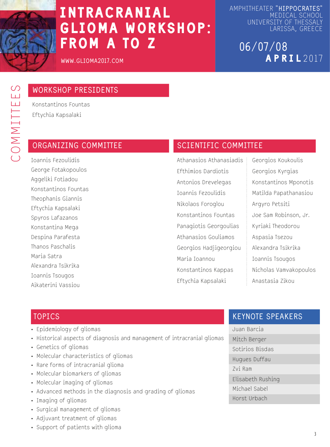

**www.glioma2017.com**

Amphitheater **"Hippocrates"** Medical School University of Thessaly Larissa, Greece

### **06/07/08** APRIL 2017

### **WORKSHOP PRESIDENTS**

Konstantinos Fountas Eftychia Kapsalaki

Ioannis Fezoulidis George Fotakopoulos Aggeliki Fotiadou Konstantinos Fountas Theophanis Giannis Eftychia Kapsalaki Spyros Lafazanos Konstantina Mega Despina Parafesta Thanos Paschalis Maria Satra Alexandra Tsikrika Ioannis Tsougos Aikaterini Vassiou

#### **ORGANIZING COMMITTEE SCIENTIFIC COMMITTEE**

Athanasios Athanasiadis Efthimios Dardiotis Antonios Drevelegas Ioannis Fezoulidis Nikolaos Foroglou Konstantinos Fountas Panagiotis Georgoulias Athanasios Gouliamos Georgios Hadjigeorgiou Maria Ioannou Konstantinos Kappas Eftychia Kapsalaki

Georgios Koukoulis Georgios Kyrgias Konstantinos Mponotis Matilda Papathanasiou Argyro Petsiti Joe Sam Robinson, Jr. Kyriaki Theodorou Aspasia Tsezou Alexandra Tsikrika Ioannis Tsougos Nicholas Vamvakopoulos Anastasia Zikou

#### **TOPICS**

- Epidemiology of gliomas
- Historical aspects of diagnosis and management of intracranial gliomas
- Genetics of gliomas
- Molecular characteristics of gliomas
- Rare forms of intracranial glioma
- Molecular biomarkers of gliomas
- Molecular imaging of gliomas
- Advanced methods in the diagnosis and grading of gliomas
- Imaging of gliomas
- Surgical management of gliomas
- Adjuvant treatment of gliomas
- Support of patients with glioma

#### **KEYNOTE SPEAKERS**

Juan Barcia Mitch Berger Sotirios Bisdas Hugues Duffau Zvi Ram Elisabeth Rushing Michael Sabel Horst Urbach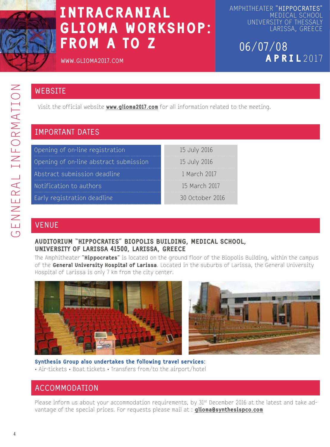

Amphitheater **"Hippocrates"** Medical School University of Thessaly Larissa, Greece

### **06/07/08** APRIL 2017

**www.glioma2017.com**

#### **WEBSITE**

Visit the official website **www.glioma2017.com** for all information related to the meeting.

### **Important Dates**

| Opening of on-line registration        | 15 July 2016    |
|----------------------------------------|-----------------|
| Opening of on-line abstract submission | 15 July 2016    |
| Abstract submission deadline           | 1 March 2017    |
| Notification to authors                | 15 March 2017   |
| Early registration deadline            | 30 October 2016 |

#### **VENUE**

#### Auditorium "Hippocrates" Biopolis building, Medical School, University of Larissa 41500, Larissa, Greece

The Amphitheater "Hippocrates" is located on the ground floor of the Biopolis Building, within the campus of the General University Hospital of Larissa. Located in the suburbs of Larissa, the General University Hospital of Larissa is only 7 km from the city center.





Synthesis Group also undertakes the following travel services: • Air-tickets • Boat tickets • Transfers from/to the airport/hotel

#### **ACCOMMODATION**

Please inform us about your accommodation requirements, by  $31st$  December 2016 at the latest and take advantage of the special prices. For requests please mail at : **glioma@synthesispco.com**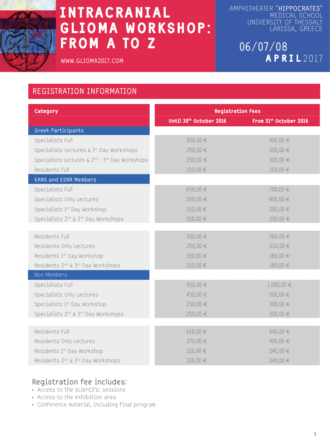

**www.glioma2017.com**

Amphitheater **"Hippocrates"** MEDICAL SCHOOL University of Thessaly Larissa, Greece

> **06/07/08** APR I L 2017

#### **Registration Information**

| Category                                                               | <b>Registration Fees</b> |                        |
|------------------------------------------------------------------------|--------------------------|------------------------|
|                                                                        | Until 30th October 2016  | From 31st October 2016 |
| Greek Participants                                                     |                          |                        |
| Specialists Full                                                       | 350,00 €                 | 400,00 €               |
| Specialists Lectures & 1st Day Workshops                               | 250,00 €                 | 300,00 €               |
| Specialists Lectures & 2 <sup>nd</sup> - 3 <sup>rd</sup> Day Workshops | 250,00 €                 | 300,00 €               |
| Residents Full                                                         | 120,00 €                 | 150,00 €               |
| <b>EANS and ESNR Members</b>                                           |                          |                        |
| Specialists Full                                                       | 650,00 €                 | 700,00 €               |
| Specialists Only Lectures                                              | 350,00 €                 | 400.00€                |
| Specialists 1 <sup>st</sup> Day Workshop                               | $150,00 \in$             | 200,00 €               |
| Specialists 2 <sup>nd</sup> & 3 <sup>rd</sup> Day Workshops            | 150,00 €                 | 200,00 €               |
|                                                                        |                          |                        |
| Residents Full                                                         | 500,00 €                 | 560,00 €               |
| Residents Only Lectures                                                | 250,00 €                 | 320,00 €               |
| Residents 1st Day Workshop                                             | 150,00 €                 | 180,00 €               |
| Residents 2 <sup>nd</sup> & 3 <sup>rd</sup> Day Workshops              | 150,00 €                 | 180,00 €               |
| Non Members                                                            |                          |                        |
| Specialists Full                                                       | 950,00€                  | $1.000,00 \in$         |
| Specialists Only Lectures                                              | 450,00€                  | 500,00 €               |
| Specialists 1st Day Workshop                                           | 250,00 €                 | 300,00 €               |
| Specialists 2 <sup>nd</sup> & 3 <sup>rd</sup> Day Workshops            | 250,00€                  | 300,00 €               |
|                                                                        |                          |                        |
| Residents Full                                                         | $610,00 \in$             | 640,00€                |
| Residents Only Lectures                                                | 370,00 €                 | 400,00 €               |
| Residents 1st Day Workshop                                             | 210,00 €                 | 240,00 €               |
| Residents 2 <sup>nd</sup> & 3 <sup>rd</sup> Day Workshops              | 210,00 €                 | 240,00€                |

#### **Registration fee includes:**

- Access to the scientific sessions
- Access to the exhibition area
- Conference material, including final program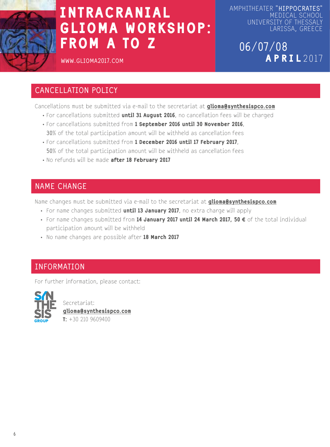

Amphitheater **"Hippocrates"** Medical School University of Thessaly Larissa, Greece

> **06/07/08** APRIL 2017

**www.glioma2017.com**

#### **Cancellation Policy**

Cancellations must be submitted via e-mail to the secretariat at *glioma@synthesispco.com* 

- For cancellations submitted until 31 August 2016, no cancellation fees will be charged
- For cancellations submitted from 1 September 2016 until 30 November 2016, **30%** of the total participation amount will be withheld as cancellation fees
- For cancellations submitted from 1 December 2016 until 17 February 2017, **50%** of the total participation amount will be withheld as cancellation fees
- No refunds will be made after 18 February 2017

#### **Name Change**

Name changes must be submitted via e-mail to the secretariat at *glioma@synthesispco.com* 

- For name changes submitted until 13 January 2017, no extra charge will apply
- For name changes submitted from  $14$  January 2017 until 24 March 2017, 50  $\epsilon$  of the total individual participation amount will be withheld
- No name changes are possible after 18 March 2017

#### **INFORMATION**

For further information, please contact:



Secretariat: glioma@synthesispco.com  $T: +30, 210, 9609400$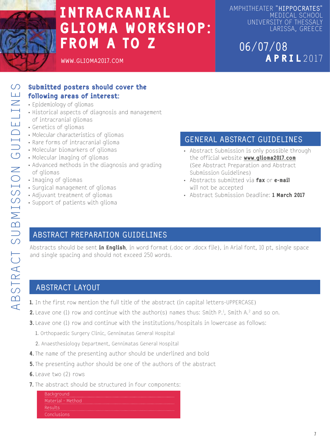

Amphitheater **"Hippocrates"** Medical School University of Thessaly Larissa, Greece

### **06/07/08** APRIL 2017

#### Submitted posters should cover the following areas of interest:

- Epidemiology of gliomas
- Historical aspects of diagnosis and management of intracranial gliomas
- Genetics of gliomas
- Molecular characteristics of gliomas
- Rare forms of intracranial glioma
- Molecular biomarkers of gliomas
- Molecular imaging of gliomas
- Advanced methods in the diagnosis and grading of gliomas
- Imaging of gliomas
- Surgical management of gliomas
- Adjuvant treatment of gliomas
- Support of patients with glioma

#### **General Abstract Guidelines**

- Abstract Submission is only possible through the official website www.glioma2017.com (See Abstract Preparation and Abstract Submission Guidelines)
- Abstracts submitted via fax or e-mail will not be accepted
- Abstract Submission Deadline: 1 March 2017

#### **Abstract Preparation Guidelines**

Abstracts should be sent in English, in word format (.doc or .docx file), in Arial font, 10 pt, single space and single spacing and should not exceed 250 words.

#### **Abstract Layout**

- 1. In the first row mention the full title of the abstract (in capital letters-UPPERCASE)
- **2.** Leave one (1) row and continue with the author(s) names thus: Smith P.<sup>1</sup>, Smith A.<sup>2</sup> and so on.
- **3.** Leave one (1) row and continue with the institutions/hospitals in lowercase as follows:
	- **1.** Orthopaedic Surgery Clinic, Gennimatas General Hospital
	- **2.** Anaesthesiology Department, Gennimatas General Hospital
- 4. The name of the presenting author should be underlined and bold
- **5.** The presenting author should be one of the authors of the abstract
- 6. Leave two (2) rows
- **7.** The abstract should be structured in four components:

| <b>Background</b>   |
|---------------------|
| - Material - Method |
| Results             |
| Conclusions         |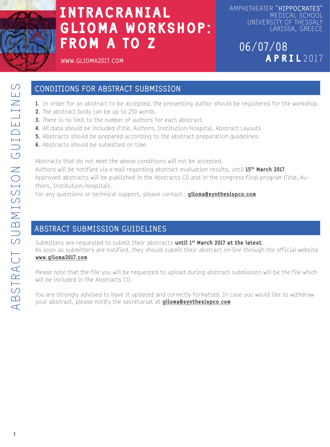

Amphitheater **"Hippocrates"** Medical School University of Thessaly Larissa, Greece

### **06/07/08** APRIL 2017

**www.glioma2017.com**

#### **Conditions for Abstract Submission**

- 1. In order for an abstract to be accepted, the presenting author should be registered for the workshop.
- 2. The abstract body can be up to 250 words.
- 3. There is no limit to the number of authors for each abstract.
- 4. All data should be included (Title, Authors, Institution/Hospital, Abstract Layout).
- 5. Abstracts should be prepared according to the abstract preparation guidelines.
- 6. Abstracts should be submitted on time.

Abstracts that do not meet the above conditions will not be accepted.

Authors will be notified via e-mail regarding abstract evaluation results, until 15<sup>th</sup> March 2017. Approved abstracts will be published in the Abstracts CD and in the congress final program (Title, Authors, Institution/Hospital).

For any questions or technical support, please contact: **glioma@synthesispco.com** 

#### **Abstract Submission Guidelines**

Submitters are requested to submit their abstracts until 1<sup>st</sup> March 2017 at the latest. As soon as submitters are notified, they should submit their abstract on-line through the official website www.glioma2017.com

Please note that the file you will be requested to upload during abstract submission will be the file which will be included in the Abstracts CD.

You are strongly advised to have it updated and correctly formatted. In case you would like to withdraw your abstract, please notify the secretariat at **glioma@synthesispco.com**